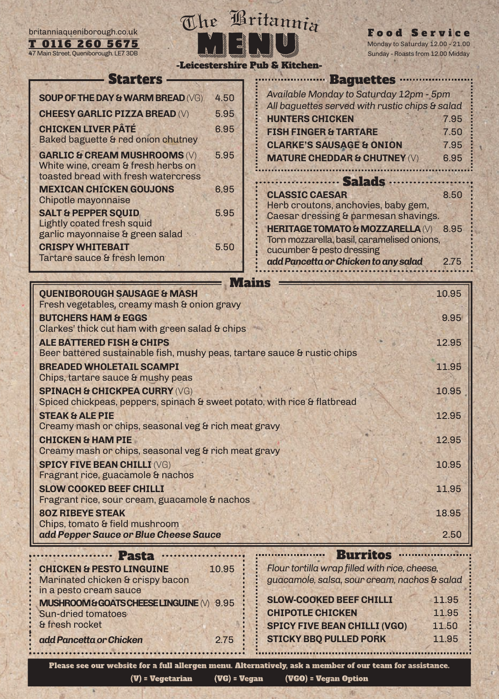T 0116 260 5675 47 Main Street, Queniborough



Food Service day to Saturday 12.00 - 21.00 Roasts from 12.00 Midday

| UIIU LUU JUIJ<br>Main Street, Queniborough. LE7 3DB                                                                                                                                                                                                                                                |                              | $\frac{1}{2}$<br>Sunday - Roasts from 12.00 Midd                                                                                                                                                                                                                                                |                              |
|----------------------------------------------------------------------------------------------------------------------------------------------------------------------------------------------------------------------------------------------------------------------------------------------------|------------------------------|-------------------------------------------------------------------------------------------------------------------------------------------------------------------------------------------------------------------------------------------------------------------------------------------------|------------------------------|
| <b>Starters</b><br><b>SOUP OF THE DAY &amp; WARM BREAD (VG)</b><br><b>CHEESY GARLIC PIZZA BREAD (V)</b><br><b>CHICKEN LIVER PÂTÉ</b><br>Baked baguette & red onion chutney<br><b>GARLIC &amp; CREAM MUSHROOMS (V)</b><br>White wine, cream & fresh herbs on<br>toasted bread with fresh watercress | 4.50<br>5.95<br>6.95<br>5.95 | -Leicestershire Pub & Kitchen-<br><b>Baguettes</b><br>Available Monday to Saturday 12pm - 5pm<br>All baguettes served with rustic chips & salad<br><b>HUNTERS CHICKEN</b><br><b>FISH FINGER &amp; TARTARE</b><br><b>CLARKE'S SAUSAGE &amp; ONION</b><br><b>MATURE CHEDDAR &amp; CHUTNEY (V)</b> | 7.95<br>7.50<br>7.95<br>6.95 |
| <b>MEXICAN CHICKEN GOUJONS</b><br>Chipotle mayonnaise<br><b>SALT &amp; PEPPER SQUID</b><br><b>Lightly coated fresh squid</b><br>garlic mayonnaise & green salad<br><b>CRISPY WHITEBAIT</b><br>Tartare sauce & fresh lemon                                                                          | 6.95<br>5.95<br>5.50         | <b>Salads</b><br><b>CLASSIC CAESAR</b><br>Herb croutons, anchovies, baby gem,<br>Caesar dressing & parmesan shavings.<br><b>HERITAGE TOMATO &amp; MOZZARELLA (V)</b><br>Torn mozzarella, basil, caramelised onions,<br>cucumber & pesto dressing<br>add Pancetta or Chicken to any salad        | 8.50<br>8.95<br>2.75         |
|                                                                                                                                                                                                                                                                                                    |                              |                                                                                                                                                                                                                                                                                                 |                              |

| <b>QUENIBOROUGH SAUSAGE &amp; MASH</b>                                   | 10.95 |
|--------------------------------------------------------------------------|-------|
| Fresh vegetables, creamy mash & onion gravy                              |       |
| <b>BUTCHERS HAM &amp; EGGS</b>                                           | 9.95  |
| Clarkes' thick cut ham with green salad & chips                          |       |
| <b>ALE BATTERED FISH &amp; CHIPS</b>                                     | 12.95 |
| Beer battered sustainable fish, mushy peas, tartare sauce & rustic chips |       |
| <b>BREADED WHOLETAIL SCAMPI</b>                                          | 11.95 |
| Chips, tartare sauce & mushy peas                                        |       |
| <b>SPINACH &amp; CHICKPEA CURRY (VG)</b>                                 | 10.95 |
| Spiced chickpeas, peppers, spinach & sweet potato, with rice & flatbread |       |
| <b>STEAK &amp; ALE PIE</b>                                               | 12.95 |
| Creamy mash or chips, seasonal veg & rich meat gravy                     |       |
| <b>CHICKEN &amp; HAM PIE</b>                                             | 12.95 |
| Creamy mash or chips, seasonal veg & rich meat gravy                     |       |
| <b>SPICY FIVE BEAN CHILLI (VG)</b>                                       | 10.95 |
| Fragrant rice, guacamole & nachos                                        |       |
| <b>SLOW COOKED BEEF CHILLI</b>                                           | 11.95 |
| Fragrant rice, sour cream, guacamole & nachos                            |       |
| <b>80Z RIBEYE STEAK</b>                                                  | 18.95 |
| Chips, tomato & field mushroom                                           |       |
| add Pepper Sauce or Blue Cheese Sauce                                    | 2.50  |
|                                                                          |       |

| Pasta                                                                                             |       | <b>Burritos</b>                                                                               |       |
|---------------------------------------------------------------------------------------------------|-------|-----------------------------------------------------------------------------------------------|-------|
| <b>CHICKEN &amp; PESTO LINGUINE</b><br>Marinated chicken & crispy bacon<br>in a pesto cream sauce | 10.95 | Flour tortilla wrap filled with rice, cheese,<br>guacamole, salsa, sour cream, nachos & salad |       |
| MUSHROOM & GOATS CHEESE LINGUINE (V) 9.95                                                         |       | <b>SLOW-COOKED BEEF CHILLI</b>                                                                | 11.95 |
| <b>Sun-dried tomatoes</b>                                                                         |       | <b>CHIPOTLE CHICKEN</b>                                                                       | 11.95 |
| & fresh rocket                                                                                    |       | <b>SPICY FIVE BEAN CHILLI (VGO)</b>                                                           | 11.50 |
| add Pancetta or Chicken                                                                           | 2.75  | <b>STICKY BBQ PULLED PORK</b>                                                                 | 11.95 |
|                                                                                                   |       |                                                                                               |       |

Please see our website for a full allergen menu. Alternatively, ask a member of our team for assistance. (VG) = Vegan